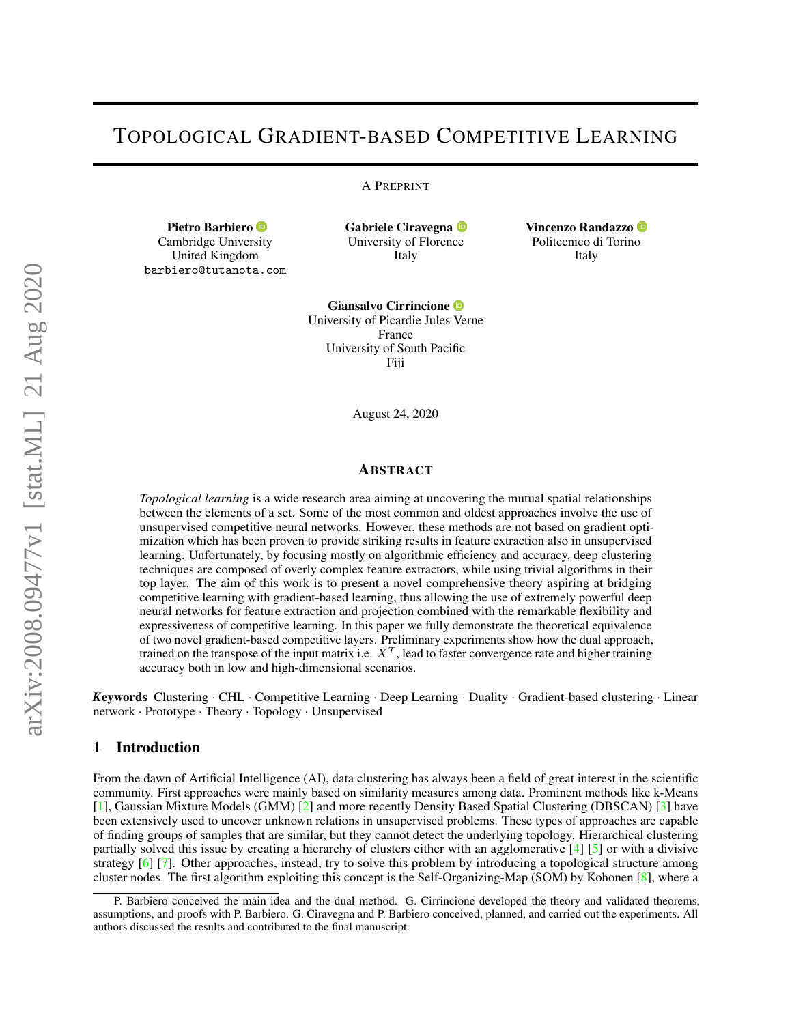# TOPOLOGICAL GRADIENT-BASED COMPETITIVE LEARNING

A PREPRINT

Pietro Barbiero <sup>®</sup> Cambridge Univer[sity](https://orcid.org/0000-0003-3155-2564) United Kingdom barbiero@tutanota.com Gabriele Ciravegna <sup>D</sup> University of Floren[ce](https://orcid.org/0000-0002-6799-1043) Italy

Vincenzo Randazzo Politecnico di Torin[o](https://orcid.org/0000-0003-3640-8561) Italy

Giansalvo Cirrincione University of Picardie Jules [Ve](https://orcid.org/0000-0002-2894-4164)rne France University of South Pacific Fiji

August 24, 2020

## ABSTRACT

*Topological learning* is a wide research area aiming at uncovering the mutual spatial relationships between the elements of a set. Some of the most common and oldest approaches involve the use of unsupervised competitive neural networks. However, these methods are not based on gradient optimization which has been proven to provide striking results in feature extraction also in unsupervised learning. Unfortunately, by focusing mostly on algorithmic efficiency and accuracy, deep clustering techniques are composed of overly complex feature extractors, while using trivial algorithms in their top layer. The aim of this work is to present a novel comprehensive theory aspiring at bridging competitive learning with gradient-based learning, thus allowing the use of extremely powerful deep neural networks for feature extraction and projection combined with the remarkable flexibility and expressiveness of competitive learning. In this paper we fully demonstrate the theoretical equivalence of two novel gradient-based competitive layers. Preliminary experiments show how the dual approach, trained on the transpose of the input matrix i.e.  $X^T$ , lead to faster convergence rate and higher training accuracy both in low and high-dimensional scenarios.

*K*eywords Clustering · CHL · Competitive Learning · Deep Learning · Duality · Gradient-based clustering · Linear network · Prototype · Theory · Topology · Unsupervised

## 1 Introduction

From the dawn of Artificial Intelligence (AI), data clustering has always been a field of great interest in the scientific community. First approaches were mainly based on similarity measures among data. Prominent methods like k-Means [\[1\]](#page-10-0), Gaussian Mixture Models (GMM) [\[2\]](#page-10-1) and more recently Density Based Spatial Clustering (DBSCAN) [\[3\]](#page-10-2) have been extensively used to uncover unknown relations in unsupervised problems. These types of approaches are capable of finding groups of samples that are similar, but they cannot detect the underlying topology. Hierarchical clustering partially solved this issue by creating a hierarchy of clusters either with an agglomerative [\[4\]](#page-10-3) [\[5\]](#page-10-4) or with a divisive strategy [\[6\]](#page-10-5) [\[7\]](#page-10-6). Other approaches, instead, try to solve this problem by introducing a topological structure among cluster nodes. The first algorithm exploiting this concept is the Self-Organizing-Map (SOM) by Kohonen [\[8\]](#page-10-7), where a

P. Barbiero conceived the main idea and the dual method. G. Cirrincione developed the theory and validated theorems, assumptions, and proofs with P. Barbiero. G. Ciravegna and P. Barbiero conceived, planned, and carried out the experiments. All authors discussed the results and contributed to the final manuscript.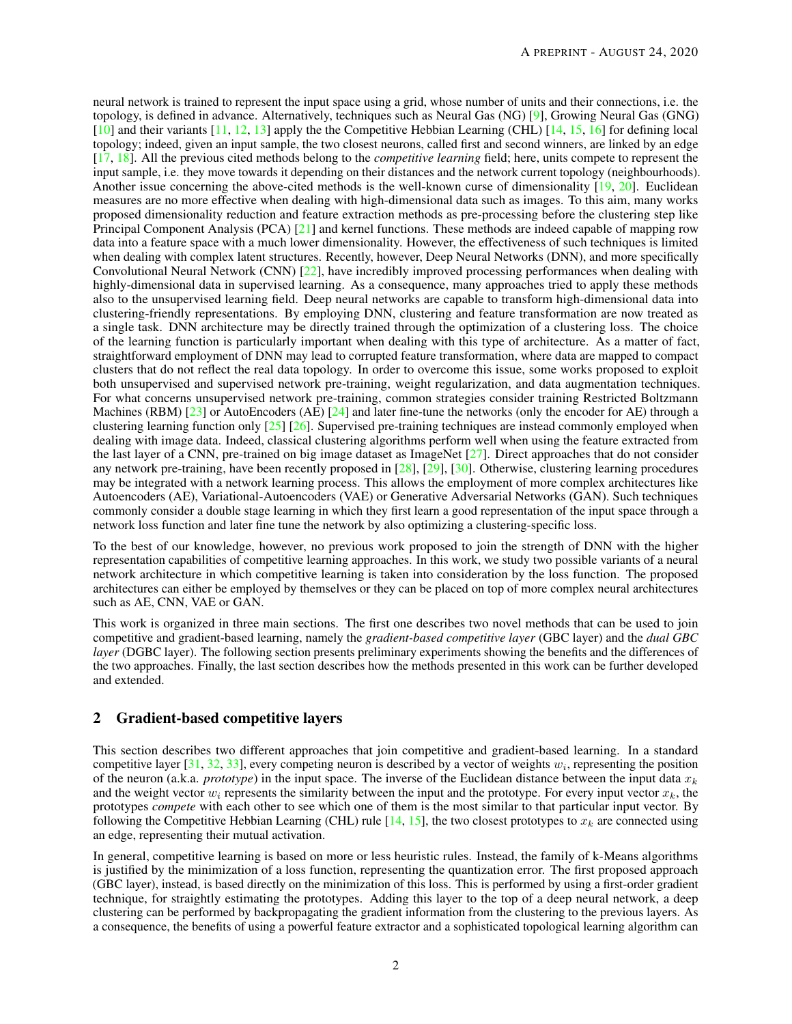neural network is trained to represent the input space using a grid, whose number of units and their connections, i.e. the topology, is defined in advance. Alternatively, techniques such as Neural Gas (NG) [\[9\]](#page-10-8), Growing Neural Gas (GNG) [\[10\]](#page-10-9) and their variants [\[11,](#page-10-10) [12,](#page-10-11) [13\]](#page-10-12) apply the the Competitive Hebbian Learning (CHL) [\[14,](#page-10-13) [15,](#page-10-14) [16\]](#page-10-15) for defining local topology; indeed, given an input sample, the two closest neurons, called first and second winners, are linked by an edge [\[17,](#page-10-16) [18\]](#page-10-17). All the previous cited methods belong to the *competitive learning* field; here, units compete to represent the input sample, i.e. they move towards it depending on their distances and the network current topology (neighbourhoods). Another issue concerning the above-cited methods is the well-known curse of dimensionality [\[19,](#page-10-18) [20\]](#page-10-19). Euclidean measures are no more effective when dealing with high-dimensional data such as images. To this aim, many works proposed dimensionality reduction and feature extraction methods as pre-processing before the clustering step like Principal Component Analysis (PCA) [\[21\]](#page-10-20) and kernel functions. These methods are indeed capable of mapping row data into a feature space with a much lower dimensionality. However, the effectiveness of such techniques is limited when dealing with complex latent structures. Recently, however, Deep Neural Networks (DNN), and more specifically Convolutional Neural Network (CNN) [\[22\]](#page-10-21), have incredibly improved processing performances when dealing with highly-dimensional data in supervised learning. As a consequence, many approaches tried to apply these methods also to the unsupervised learning field. Deep neural networks are capable to transform high-dimensional data into clustering-friendly representations. By employing DNN, clustering and feature transformation are now treated as a single task. DNN architecture may be directly trained through the optimization of a clustering loss. The choice of the learning function is particularly important when dealing with this type of architecture. As a matter of fact, straightforward employment of DNN may lead to corrupted feature transformation, where data are mapped to compact clusters that do not reflect the real data topology. In order to overcome this issue, some works proposed to exploit both unsupervised and supervised network pre-training, weight regularization, and data augmentation techniques. For what concerns unsupervised network pre-training, common strategies consider training Restricted Boltzmann Machines (RBM)  $[23]$  or AutoEncoders (AE)  $[24]$  and later fine-tune the networks (only the encoder for AE) through a clustering learning function only  $[25]$   $[26]$ . Supervised pre-training techniques are instead commonly employed when dealing with image data. Indeed, classical clustering algorithms perform well when using the feature extracted from the last layer of a CNN, pre-trained on big image dataset as ImageNet [\[27\]](#page-11-0). Direct approaches that do not consider any network pre-training, have been recently proposed in [\[28\]](#page-11-1), [\[29\]](#page-11-2), [\[30\]](#page-11-3). Otherwise, clustering learning procedures may be integrated with a network learning process. This allows the employment of more complex architectures like Autoencoders (AE), Variational-Autoencoders (VAE) or Generative Adversarial Networks (GAN). Such techniques commonly consider a double stage learning in which they first learn a good representation of the input space through a network loss function and later fine tune the network by also optimizing a clustering-specific loss.

To the best of our knowledge, however, no previous work proposed to join the strength of DNN with the higher representation capabilities of competitive learning approaches. In this work, we study two possible variants of a neural network architecture in which competitive learning is taken into consideration by the loss function. The proposed architectures can either be employed by themselves or they can be placed on top of more complex neural architectures such as AE, CNN, VAE or GAN.

This work is organized in three main sections. The first one describes two novel methods that can be used to join competitive and gradient-based learning, namely the *gradient-based competitive layer* (GBC layer) and the *dual GBC layer* (DGBC layer). The following section presents preliminary experiments showing the benefits and the differences of the two approaches. Finally, the last section describes how the methods presented in this work can be further developed and extended.

# 2 Gradient-based competitive layers

This section describes two different approaches that join competitive and gradient-based learning. In a standard competitive layer [\[31,](#page-11-4) [32,](#page-11-5) [33\]](#page-11-6), every competing neuron is described by a vector of weights  $w_i$ , representing the position of the neuron (a.k.a. *prototype*) in the input space. The inverse of the Euclidean distance between the input data  $x_k$ and the weight vector  $w_i$  represents the similarity between the input and the prototype. For every input vector  $x_k$ , the prototypes *compete* with each other to see which one of them is the most similar to that particular input vector. By following the Competitive Hebbian Learning (CHL) rule  $[14, 15]$  $[14, 15]$  $[14, 15]$ , the two closest prototypes to  $x_k$  are connected using an edge, representing their mutual activation.

In general, competitive learning is based on more or less heuristic rules. Instead, the family of k-Means algorithms is justified by the minimization of a loss function, representing the quantization error. The first proposed approach (GBC layer), instead, is based directly on the minimization of this loss. This is performed by using a first-order gradient technique, for straightly estimating the prototypes. Adding this layer to the top of a deep neural network, a deep clustering can be performed by backpropagating the gradient information from the clustering to the previous layers. As a consequence, the benefits of using a powerful feature extractor and a sophisticated topological learning algorithm can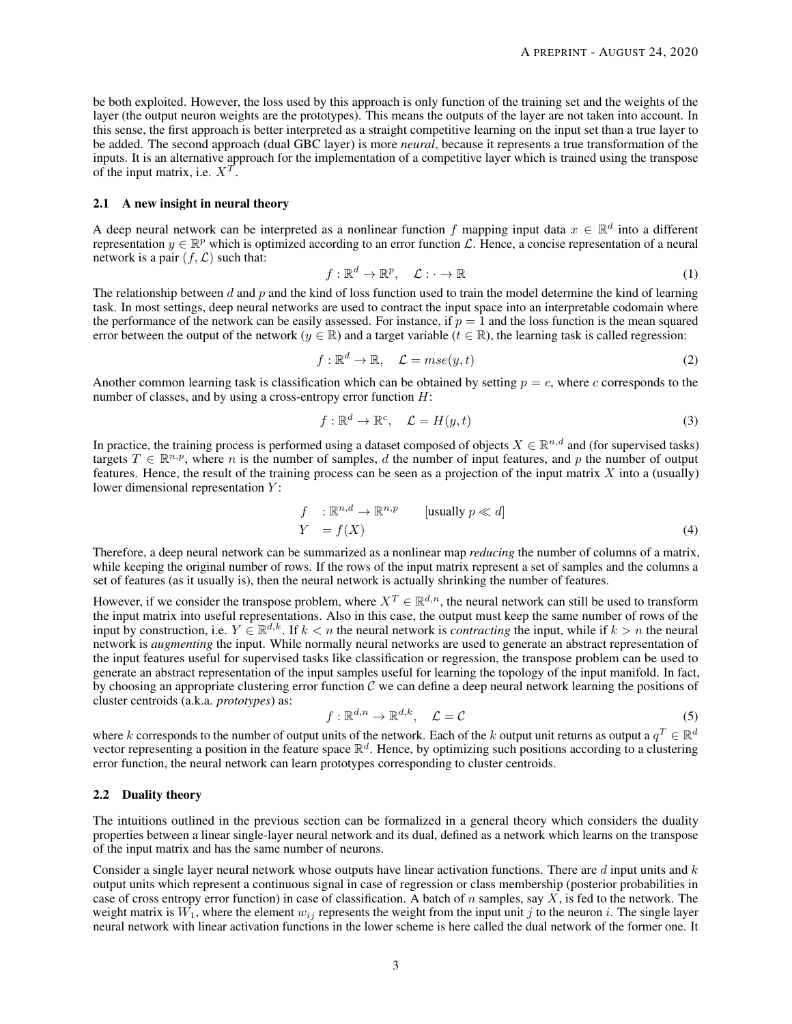be both exploited. However, the loss used by this approach is only function of the training set and the weights of the layer (the output neuron weights are the prototypes). This means the outputs of the layer are not taken into account. In this sense, the first approach is better interpreted as a straight competitive learning on the input set than a true layer to be added. The second approach (dual GBC layer) is more *neural*, because it represents a true transformation of the inputs. It is an alternative approach for the implementation of a competitive layer which is trained using the transpose of the input matrix, i.e.  $X^T$ .

#### 2.1 A new insight in neural theory

A deep neural network can be interpreted as a nonlinear function f mapping input data  $x \in \mathbb{R}^d$  into a different representation  $y \in \mathbb{R}^p$  which is optimized according to an error function  $\mathcal{L}$ . Hence, a concise representation of a neural network is a pair  $(f, \mathcal{L})$  such that:

$$
f: \mathbb{R}^d \to \mathbb{R}^p, \quad \mathcal{L}: \cdot \to \mathbb{R}
$$
 (1)

The relationship between d and p and the kind of loss function used to train the model determine the kind of learning task. In most settings, deep neural networks are used to contract the input space into an interpretable codomain where the performance of the network can be easily assessed. For instance, if  $p = 1$  and the loss function is the mean squared error between the output of the network ( $y \in \mathbb{R}$ ) and a target variable ( $t \in \mathbb{R}$ ), the learning task is called regression:

$$
f: \mathbb{R}^d \to \mathbb{R}, \quad \mathcal{L} = mse(y, t) \tag{2}
$$

Another common learning task is classification which can be obtained by setting  $p = c$ , where c corresponds to the number of classes, and by using a cross-entropy error function  $H$ :

$$
f: \mathbb{R}^d \to \mathbb{R}^c, \quad \mathcal{L} = H(y, t) \tag{3}
$$

In practice, the training process is performed using a dataset composed of objects  $X \in \mathbb{R}^{n,d}$  and (for supervised tasks) targets  $T \in \mathbb{R}^{n,p}$ , where n is the number of samples, d the number of input features, and p the number of output features. Hence, the result of the training process can be seen as a projection of the input matrix  $X$  into a (usually) lower dimensional representation  $Y$ :

$$
f : \mathbb{R}^{n,d} \to \mathbb{R}^{n,p} \qquad \text{[usually } p \ll d\text{]}
$$
\n
$$
Y = f(X) \tag{4}
$$

Therefore, a deep neural network can be summarized as a nonlinear map *reducing* the number of columns of a matrix, while keeping the original number of rows. If the rows of the input matrix represent a set of samples and the columns a set of features (as it usually is), then the neural network is actually shrinking the number of features.

However, if we consider the transpose problem, where  $X^T \in \mathbb{R}^{d,n}$ , the neural network can still be used to transform the input matrix into useful representations. Also in this case, the output must keep the same number of rows of the input by construction, i.e.  $Y \in \mathbb{R}^{d,k}$ . If  $k < n$  the neural network is *contracting* the input, while if  $k > n$  the neural network is *augmenting* the input. While normally neural networks are used to generate an abstract representation of the input features useful for supervised tasks like classification or regression, the transpose problem can be used to generate an abstract representation of the input samples useful for learning the topology of the input manifold. In fact, by choosing an appropriate clustering error function  $C$  we can define a deep neural network learning the positions of cluster centroids (a.k.a. *prototypes*) as:

$$
f: \mathbb{R}^{d,n} \to \mathbb{R}^{d,k}, \quad \mathcal{L} = \mathcal{C}
$$
 (5)

where k corresponds to the number of output units of the network. Each of the k output unit returns as output a  $q^T \in \mathbb{R}^d$ vector representing a position in the feature space  $\mathbb{R}^d$ . Hence, by optimizing such positions according to a clustering error function, the neural network can learn prototypes corresponding to cluster centroids.

## 2.2 Duality theory

The intuitions outlined in the previous section can be formalized in a general theory which considers the duality properties between a linear single-layer neural network and its dual, defined as a network which learns on the transpose of the input matrix and has the same number of neurons.

Consider a single layer neural network whose outputs have linear activation functions. There are d input units and  $k$ output units which represent a continuous signal in case of regression or class membership (posterior probabilities in case of cross entropy error function) in case of classification. A batch of n samples, say  $X$ , is fed to the network. The weight matrix is  $W_1$ , where the element  $w_{ij}$  represents the weight from the input unit j to the neuron i. The single layer neural network with linear activation functions in the lower scheme is here called the dual network of the former one. It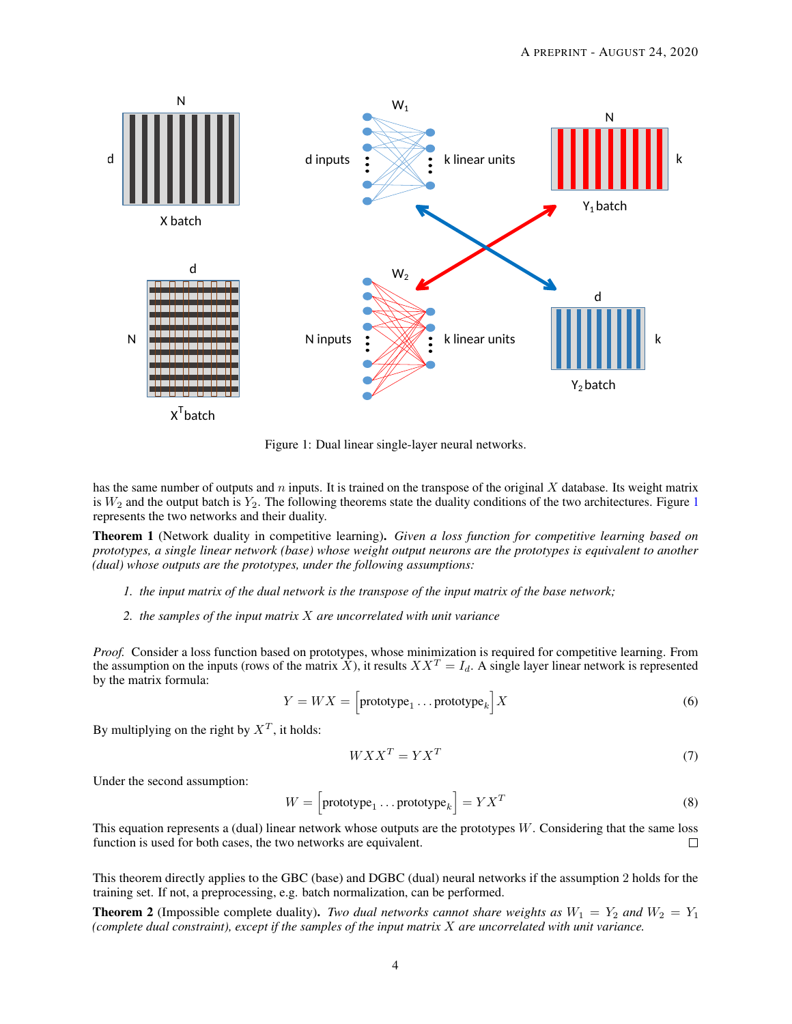

<span id="page-3-0"></span>Figure 1: Dual linear single-layer neural networks.

has the same number of outputs and  $n$  inputs. It is trained on the transpose of the original  $X$  database. Its weight matrix is  $W_2$  and the output batch is  $Y_2$ . The following theorems state the duality conditions of the two architectures. Figure [1](#page-3-0) represents the two networks and their duality.

<span id="page-3-1"></span>Theorem 1 (Network duality in competitive learning). *Given a loss function for competitive learning based on prototypes, a single linear network (base) whose weight output neurons are the prototypes is equivalent to another (dual) whose outputs are the prototypes, under the following assumptions:*

- *1. the input matrix of the dual network is the transpose of the input matrix of the base network;*
- *2. the samples of the input matrix* X *are uncorrelated with unit variance*

*Proof.* Consider a loss function based on prototypes, whose minimization is required for competitive learning. From the assumption on the inputs (rows of the matrix X), it results  $XX^T = I_d$ . A single layer linear network is represented by the matrix formula:

$$
Y = W X = \left[ \text{prototype}_1 \dots \text{prototype}_k \right] X \tag{6}
$$

By multiplying on the right by  $X^T$ , it holds:

$$
WXX^T = YX^T \tag{7}
$$

Under the second assumption:

$$
W = \left[\text{prototype}_1 \dots \text{prototype}_k\right] = Y X^T \tag{8}
$$

This equation represents a (dual) linear network whose outputs are the prototypes  $W$ . Considering that the same loss function is used for both cases, the two networks are equivalent.  $\Box$ 

This theorem directly applies to the GBC (base) and DGBC (dual) neural networks if the assumption 2 holds for the training set. If not, a preprocessing, e.g. batch normalization, can be performed.

**Theorem 2** (Impossible complete duality). *Two dual networks cannot share weights as*  $W_1 = Y_2$  *and*  $W_2 = Y_1$ *(complete dual constraint), except if the samples of the input matrix* X *are uncorrelated with unit variance.*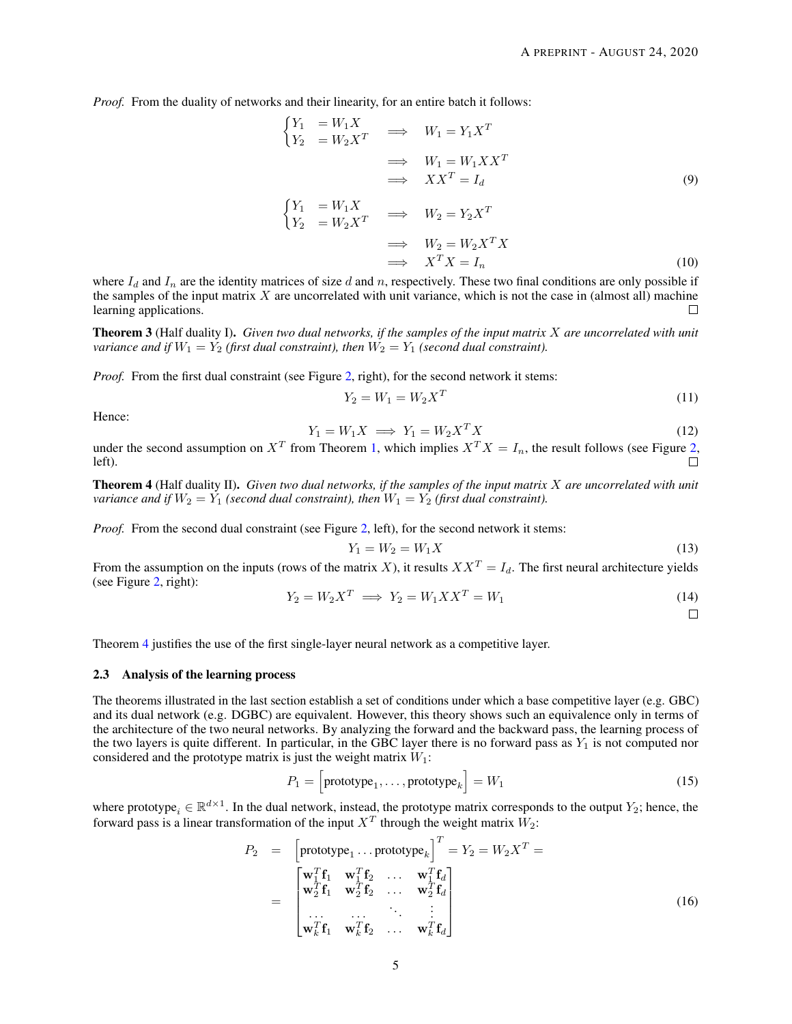*Proof.* From the duality of networks and their linearity, for an entire batch it follows:

$$
\begin{aligned}\n\begin{cases}\nY_1 &= W_1 X \\
Y_2 &= W_2 X^T\n\end{cases} &\implies \quad W_1 = Y_1 X^T \\
&\implies \quad W_1 = W_1 X X^T \\
&\implies \quad XX^T = I_d\n\end{cases} \tag{9}
$$

$$
\begin{aligned}\n\begin{cases}\nY_1 &= W_1 X \\
Y_2 &= W_2 X^T\n\end{cases} &\implies \quad W_2 = Y_2 X^T \\
&\implies \quad W_2 = W_2 X^T X \\
&\implies \quad X^T X = I_n\n\end{aligned}\n\tag{10}
$$

where  $I_d$  and  $I_n$  are the identity matrices of size d and n, respectively. These two final conditions are only possible if the samples of the input matrix  $X$  are uncorrelated with unit variance, which is not the case in (almost all) machine learning applications.  $\Box$ 

Theorem 3 (Half duality I). *Given two dual networks, if the samples of the input matrix* X *are uncorrelated with unit variance and if*  $W_1 = Y_2$  *(first dual constraint), then*  $W_2 = Y_1$  *(second dual constraint).* 

*Proof.* From the first dual constraint (see Figure [2,](#page-5-0) right), for the second network it stems:

$$
Y_2 = W_1 = W_2 X^T
$$
 (11)

Hence:

$$
Y_1 = W_1 X \implies Y_1 = W_2 X^T X \tag{12}
$$

under the second assumption on  $X^T$  from Theorem [1,](#page-3-1) which implies  $X^T X = I_n$ , the result follows (see Figure [2,](#page-5-0) left).

<span id="page-4-0"></span>Theorem 4 (Half duality II). *Given two dual networks, if the samples of the input matrix* X *are uncorrelated with unit variance and if*  $W_2 = Y_1$  *(second dual constraint), then*  $W_1 = Y_2$  *(first dual constraint).* 

*Proof.* From the second dual constraint (see Figure [2,](#page-5-0) left), for the second network it stems:

$$
Y_1 = W_2 = W_1 X \tag{13}
$$

From the assumption on the inputs (rows of the matrix X), it results  $XX^T = I_d$ . The first neural architecture yields (see Figure [2,](#page-5-0) right):

$$
Y_2 = W_2 X^T \implies Y_2 = W_1 X X^T = W_1 \tag{14}
$$

 $\Box$ 

Theorem [4](#page-4-0) justifies the use of the first single-layer neural network as a competitive layer.

## 2.3 Analysis of the learning process

The theorems illustrated in the last section establish a set of conditions under which a base competitive layer (e.g. GBC) and its dual network (e.g. DGBC) are equivalent. However, this theory shows such an equivalence only in terms of the architecture of the two neural networks. By analyzing the forward and the backward pass, the learning process of the two layers is quite different. In particular, in the GBC layer there is no forward pass as  $Y_1$  is not computed nor considered and the prototype matrix is just the weight matrix  $W_1$ :

$$
P_1 = \left[\text{prototype}_1, \dots, \text{prototype}_k\right] = W_1 \tag{15}
$$

where prototype<sub>i</sub>  $\in \mathbb{R}^{d \times 1}$ . In the dual network, instead, the prototype matrix corresponds to the output  $Y_2$ ; hence, the forward pass is a linear transformation of the input  $X^T$  through the weight matrix  $W_2$ :

$$
P_2 = \begin{bmatrix} \text{prototype}_1 \dots \text{prototype}_k \end{bmatrix}^T = Y_2 = W_2 X^T = \\ = \begin{bmatrix} \mathbf{w}_1^T \mathbf{f}_1 & \mathbf{w}_1^T \mathbf{f}_2 & \dots & \mathbf{w}_1^T \mathbf{f}_d \\ \mathbf{w}_2^T \mathbf{f}_1 & \mathbf{w}_2^T \mathbf{f}_2 & \dots & \mathbf{w}_2^T \mathbf{f}_d \\ \dots & \dots & \vdots \\ \mathbf{w}_k^T \mathbf{f}_1 & \mathbf{w}_k^T \mathbf{f}_2 & \dots & \mathbf{w}_k^T \mathbf{f}_d \end{bmatrix}
$$
(16)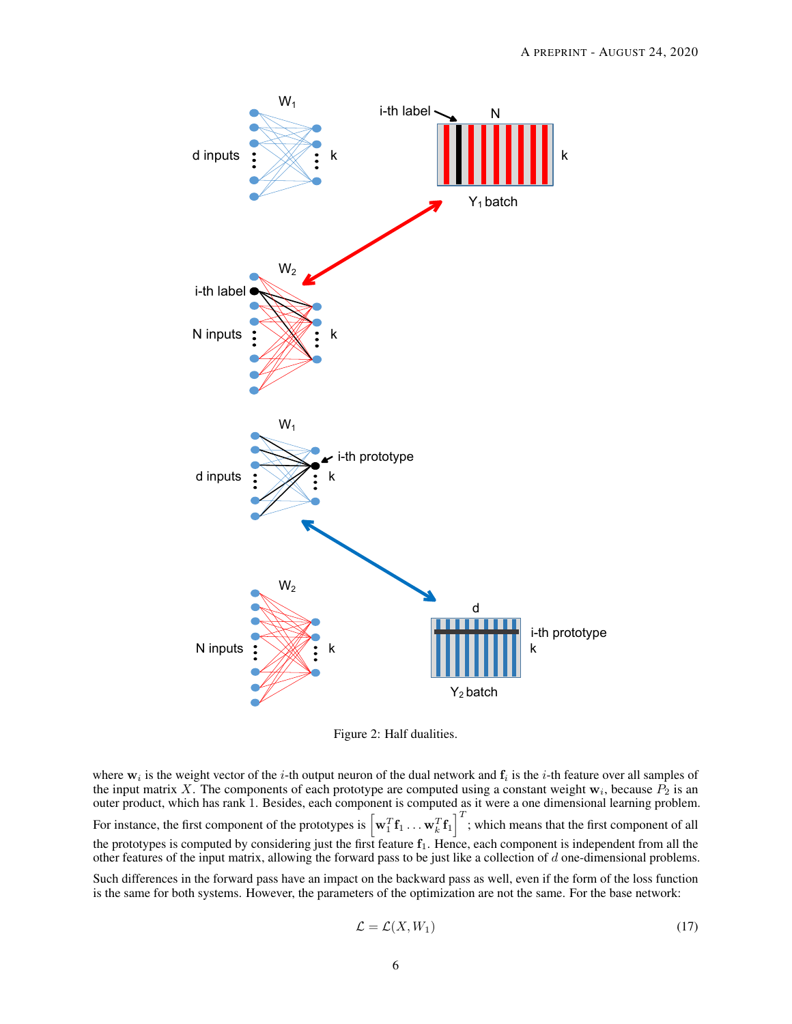

<span id="page-5-0"></span>Figure 2: Half dualities.

where  $w_i$  is the weight vector of the *i*-th output neuron of the dual network and  $f_i$  is the *i*-th feature over all samples of the input matrix X. The components of each prototype are computed using a constant weight  $w_i$ , because  $P_2$  is an outer product, which has rank 1. Besides, each component is computed as it were a one dimensional learning problem. For instance, the first component of the prototypes is  $\left[\mathbf{w}_1^T\mathbf{f}_1 \dots \mathbf{w}_k^T\mathbf{f}_1\right]^T$ ; which means that the first component of all  $\mathcal{I}^T$ the prototypes is computed by considering just the first feature  $f_1$ . Hence, each component is independent from all the other features of the input matrix, allowing the forward pass to be just like a collection of  $d$  one-dimensional problems.

Such differences in the forward pass have an impact on the backward pass as well, even if the form of the loss function is the same for both systems. However, the parameters of the optimization are not the same. For the base network:

$$
\mathcal{L} = \mathcal{L}(X, W_1) \tag{17}
$$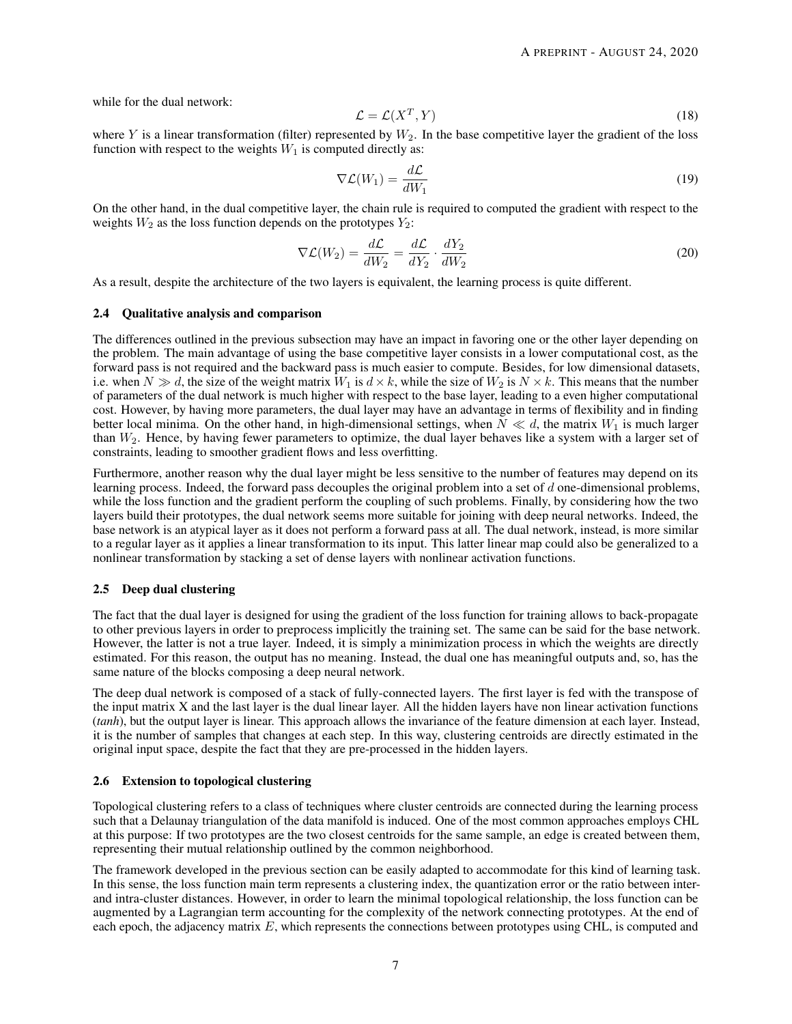while for the dual network:

$$
\mathcal{L} = \mathcal{L}(X^T, Y) \tag{18}
$$

where Y is a linear transformation (filter) represented by  $W_2$ . In the base competitive layer the gradient of the loss function with respect to the weights  $W_1$  is computed directly as:

$$
\nabla \mathcal{L}(W_1) = \frac{d\mathcal{L}}{dW_1}
$$
\n(19)

On the other hand, in the dual competitive layer, the chain rule is required to computed the gradient with respect to the weights  $W_2$  as the loss function depends on the prototypes  $Y_2$ :

$$
\nabla \mathcal{L}(W_2) = \frac{d\mathcal{L}}{dW_2} = \frac{d\mathcal{L}}{dY_2} \cdot \frac{dY_2}{dW_2}
$$
\n(20)

As a result, despite the architecture of the two layers is equivalent, the learning process is quite different.

#### 2.4 Qualitative analysis and comparison

The differences outlined in the previous subsection may have an impact in favoring one or the other layer depending on the problem. The main advantage of using the base competitive layer consists in a lower computational cost, as the forward pass is not required and the backward pass is much easier to compute. Besides, for low dimensional datasets, i.e. when  $N \gg d$ , the size of the weight matrix  $W_1$  is  $d \times k$ , while the size of  $W_2$  is  $N \times k$ . This means that the number of parameters of the dual network is much higher with respect to the base layer, leading to a even higher computational cost. However, by having more parameters, the dual layer may have an advantage in terms of flexibility and in finding better local minima. On the other hand, in high-dimensional settings, when  $N \ll d$ , the matrix  $W_1$  is much larger than  $W_2$ . Hence, by having fewer parameters to optimize, the dual layer behaves like a system with a larger set of constraints, leading to smoother gradient flows and less overfitting.

Furthermore, another reason why the dual layer might be less sensitive to the number of features may depend on its learning process. Indeed, the forward pass decouples the original problem into a set of d one-dimensional problems, while the loss function and the gradient perform the coupling of such problems. Finally, by considering how the two layers build their prototypes, the dual network seems more suitable for joining with deep neural networks. Indeed, the base network is an atypical layer as it does not perform a forward pass at all. The dual network, instead, is more similar to a regular layer as it applies a linear transformation to its input. This latter linear map could also be generalized to a nonlinear transformation by stacking a set of dense layers with nonlinear activation functions.

#### 2.5 Deep dual clustering

The fact that the dual layer is designed for using the gradient of the loss function for training allows to back-propagate to other previous layers in order to preprocess implicitly the training set. The same can be said for the base network. However, the latter is not a true layer. Indeed, it is simply a minimization process in which the weights are directly estimated. For this reason, the output has no meaning. Instead, the dual one has meaningful outputs and, so, has the same nature of the blocks composing a deep neural network.

The deep dual network is composed of a stack of fully-connected layers. The first layer is fed with the transpose of the input matrix X and the last layer is the dual linear layer. All the hidden layers have non linear activation functions (*tanh*), but the output layer is linear. This approach allows the invariance of the feature dimension at each layer. Instead, it is the number of samples that changes at each step. In this way, clustering centroids are directly estimated in the original input space, despite the fact that they are pre-processed in the hidden layers.

#### 2.6 Extension to topological clustering

Topological clustering refers to a class of techniques where cluster centroids are connected during the learning process such that a Delaunay triangulation of the data manifold is induced. One of the most common approaches employs CHL at this purpose: If two prototypes are the two closest centroids for the same sample, an edge is created between them, representing their mutual relationship outlined by the common neighborhood.

The framework developed in the previous section can be easily adapted to accommodate for this kind of learning task. In this sense, the loss function main term represents a clustering index, the quantization error or the ratio between interand intra-cluster distances. However, in order to learn the minimal topological relationship, the loss function can be augmented by a Lagrangian term accounting for the complexity of the network connecting prototypes. At the end of each epoch, the adjacency matrix E, which represents the connections between prototypes using CHL, is computed and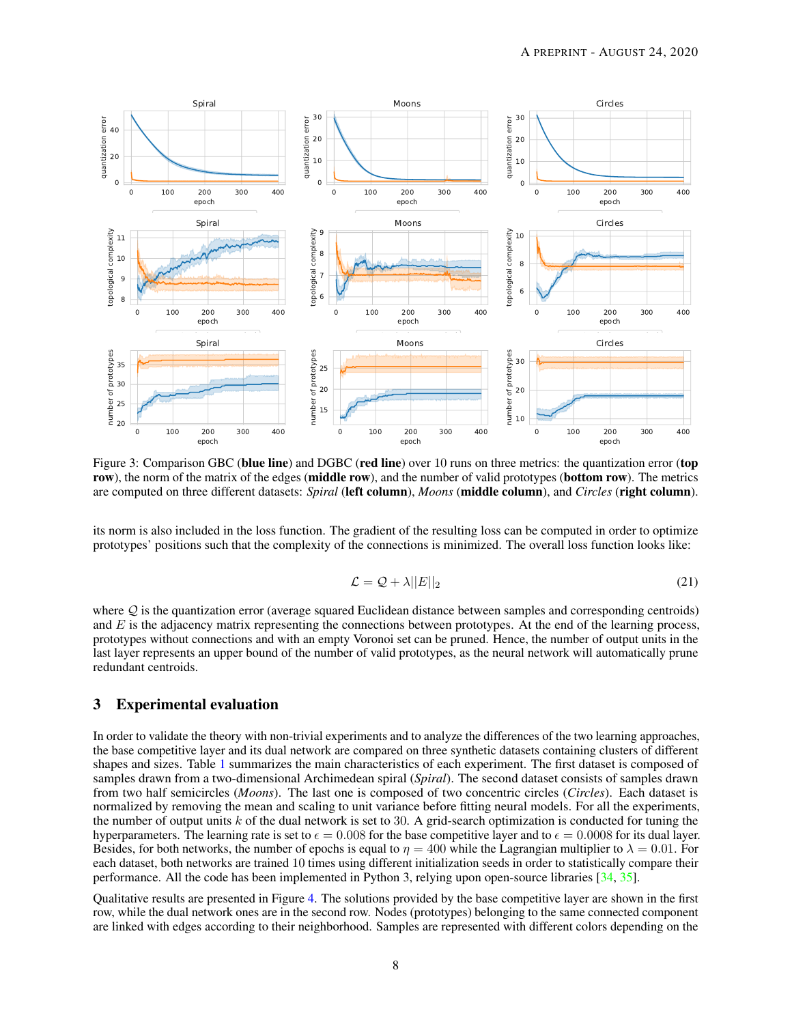

<span id="page-7-0"></span>Figure 3: Comparison GBC (blue line) and DGBC (red line) over 10 runs on three metrics: the quantization error (top row), the norm of the matrix of the edges (middle row), and the number of valid prototypes (bottom row). The metrics are computed on three different datasets: *Spiral* (left column), *Moons* (middle column), and *Circles* (right column).

its norm is also included in the loss function. The gradient of the resulting loss can be computed in order to optimize prototypes' positions such that the complexity of the connections is minimized. The overall loss function looks like:

$$
\mathcal{L} = \mathcal{Q} + \lambda ||E||_2 \tag{21}
$$

where  $Q$  is the quantization error (average squared Euclidean distance between samples and corresponding centroids) and  $E$  is the adjacency matrix representing the connections between prototypes. At the end of the learning process, prototypes without connections and with an empty Voronoi set can be pruned. Hence, the number of output units in the last layer represents an upper bound of the number of valid prototypes, as the neural network will automatically prune redundant centroids.

# 3 Experimental evaluation

In order to validate the theory with non-trivial experiments and to analyze the differences of the two learning approaches, the base competitive layer and its dual network are compared on three synthetic datasets containing clusters of different shapes and sizes. Table [1](#page-8-0) summarizes the main characteristics of each experiment. The first dataset is composed of samples drawn from a two-dimensional Archimedean spiral (*Spiral*). The second dataset consists of samples drawn from two half semicircles (*Moons*). The last one is composed of two concentric circles (*Circles*). Each dataset is normalized by removing the mean and scaling to unit variance before fitting neural models. For all the experiments, the number of output units  $k$  of the dual network is set to 30. A grid-search optimization is conducted for tuning the hyperparameters. The learning rate is set to  $\epsilon = 0.008$  for the base competitive layer and to  $\epsilon = 0.0008$  for its dual layer. Besides, for both networks, the number of epochs is equal to  $\eta = 400$  while the Lagrangian multiplier to  $\lambda = 0.01$ . For each dataset, both networks are trained 10 times using different initialization seeds in order to statistically compare their performance. All the code has been implemented in Python 3, relying upon open-source libraries [\[34,](#page-11-7) [35\]](#page-11-8).

Qualitative results are presented in Figure [4.](#page-8-1) The solutions provided by the base competitive layer are shown in the first row, while the dual network ones are in the second row. Nodes (prototypes) belonging to the same connected component are linked with edges according to their neighborhood. Samples are represented with different colors depending on the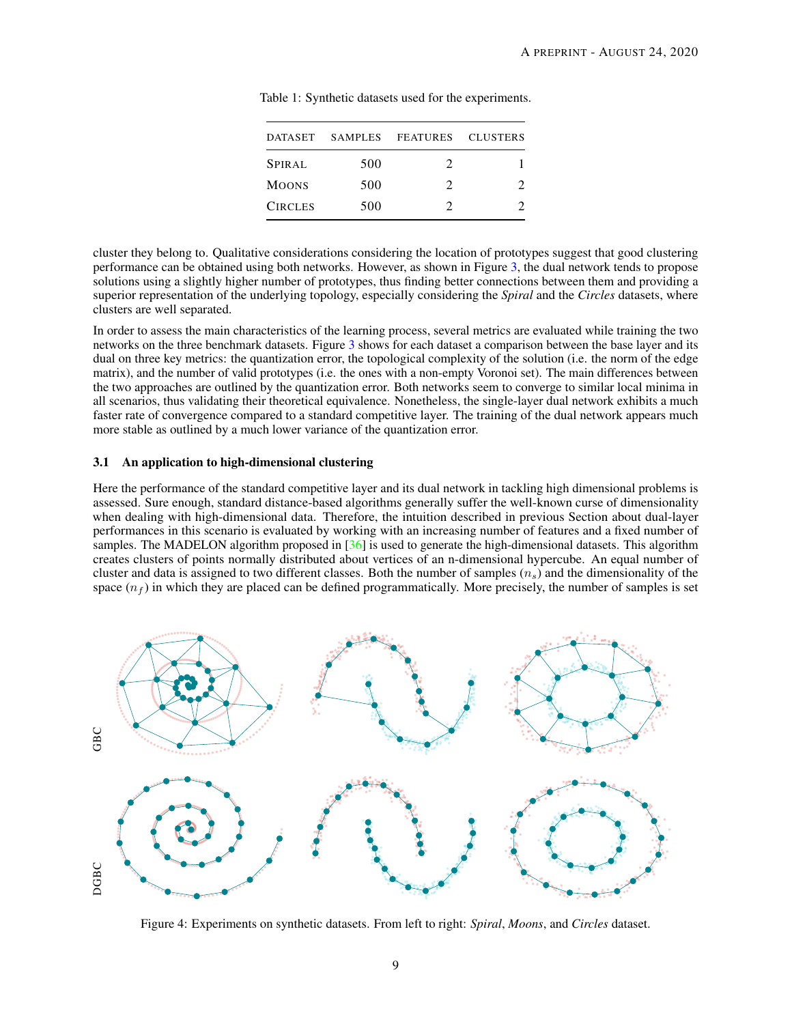| DATASET        |     | SAMPLES FEATURES CLUSTERS |  |
|----------------|-----|---------------------------|--|
| <b>SPIRAL</b>  | 500 | 2                         |  |
| <b>MOONS</b>   | 500 | 7                         |  |
| <b>CIRCLES</b> | 500 |                           |  |

<span id="page-8-0"></span>Table 1: Synthetic datasets used for the experiments.

cluster they belong to. Qualitative considerations considering the location of prototypes suggest that good clustering performance can be obtained using both networks. However, as shown in Figure [3,](#page-7-0) the dual network tends to propose solutions using a slightly higher number of prototypes, thus finding better connections between them and providing a superior representation of the underlying topology, especially considering the *Spiral* and the *Circles* datasets, where clusters are well separated.

In order to assess the main characteristics of the learning process, several metrics are evaluated while training the two networks on the three benchmark datasets. Figure [3](#page-7-0) shows for each dataset a comparison between the base layer and its dual on three key metrics: the quantization error, the topological complexity of the solution (i.e. the norm of the edge matrix), and the number of valid prototypes (i.e. the ones with a non-empty Voronoi set). The main differences between the two approaches are outlined by the quantization error. Both networks seem to converge to similar local minima in all scenarios, thus validating their theoretical equivalence. Nonetheless, the single-layer dual network exhibits a much faster rate of convergence compared to a standard competitive layer. The training of the dual network appears much more stable as outlined by a much lower variance of the quantization error.

## 3.1 An application to high-dimensional clustering

Here the performance of the standard competitive layer and its dual network in tackling high dimensional problems is assessed. Sure enough, standard distance-based algorithms generally suffer the well-known curse of dimensionality when dealing with high-dimensional data. Therefore, the intuition described in previous Section about dual-layer performances in this scenario is evaluated by working with an increasing number of features and a fixed number of samples. The MADELON algorithm proposed in  $\left[36\right]$  is used to generate the high-dimensional datasets. This algorithm creates clusters of points normally distributed about vertices of an n-dimensional hypercube. An equal number of cluster and data is assigned to two different classes. Both the number of samples  $(n<sub>s</sub>)$  and the dimensionality of the space  $(n_f)$  in which they are placed can be defined programmatically. More precisely, the number of samples is set



<span id="page-8-1"></span>Figure 4: Experiments on synthetic datasets. From left to right: *Spiral*, *Moons*, and *Circles* dataset.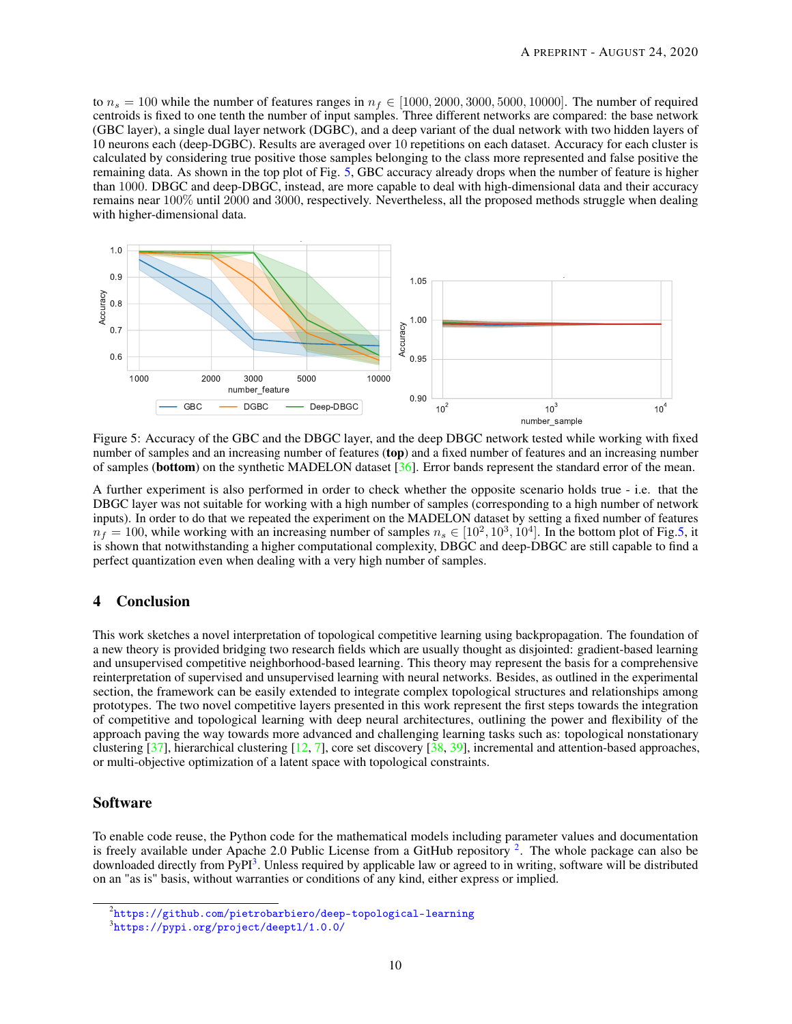to  $n_s = 100$  while the number of features ranges in  $n_f \in [1000, 2000, 3000, 5000, 10000]$ . The number of required centroids is fixed to one tenth the number of input samples. Three different networks are compared: the base network (GBC layer), a single dual layer network (DGBC), and a deep variant of the dual network with two hidden layers of 10 neurons each (deep-DGBC). Results are averaged over 10 repetitions on each dataset. Accuracy for each cluster is calculated by considering true positive those samples belonging to the class more represented and false positive the remaining data. As shown in the top plot of Fig. [5,](#page-9-0) GBC accuracy already drops when the number of feature is higher than 1000. DBGC and deep-DBGC, instead, are more capable to deal with high-dimensional data and their accuracy remains near 100% until 2000 and 3000, respectively. Nevertheless, all the proposed methods struggle when dealing with higher-dimensional data.



<span id="page-9-0"></span>Figure 5: Accuracy of the GBC and the DBGC layer, and the deep DBGC network tested while working with fixed number of samples and an increasing number of features (top) and a fixed number of features and an increasing number of samples (bottom) on the synthetic MADELON dataset [\[36\]](#page-11-9). Error bands represent the standard error of the mean.

A further experiment is also performed in order to check whether the opposite scenario holds true - i.e. that the DBGC layer was not suitable for working with a high number of samples (corresponding to a high number of network inputs). In order to do that we repeated the experiment on the MADELON dataset by setting a fixed number of features  $n_f = 100$ , while working with an increasing number of samples  $n_s \in [10^2, 10^3, 10^4]$ . In the bottom plot of Fig[.5,](#page-9-0) it is shown that notwithstanding a higher computational complexity, DBGC and deep-DBGC are still capable to find a perfect quantization even when dealing with a very high number of samples.

# 4 Conclusion

This work sketches a novel interpretation of topological competitive learning using backpropagation. The foundation of a new theory is provided bridging two research fields which are usually thought as disjointed: gradient-based learning and unsupervised competitive neighborhood-based learning. This theory may represent the basis for a comprehensive reinterpretation of supervised and unsupervised learning with neural networks. Besides, as outlined in the experimental section, the framework can be easily extended to integrate complex topological structures and relationships among prototypes. The two novel competitive layers presented in this work represent the first steps towards the integration of competitive and topological learning with deep neural architectures, outlining the power and flexibility of the approach paving the way towards more advanced and challenging learning tasks such as: topological nonstationary clustering  $[37]$ , hierarchical clustering  $[12, 7]$  $[12, 7]$  $[12, 7]$ , core set discovery  $[38, 39]$  $[38, 39]$  $[38, 39]$ , incremental and attention-based approaches, or multi-objective optimization of a latent space with topological constraints.

# Software

To enable code reuse, the Python code for the mathematical models including parameter values and documentation is freely available under Apache [2](#page-9-1).0 Public License from a GitHub repository  $2$ . The whole package can also be downloaded directly from PyPI<sup>[3](#page-9-2)</sup>. Unless required by applicable law or agreed to in writing, software will be distributed on an "as is" basis, without warranties or conditions of any kind, either express or implied.

<span id="page-9-1"></span> $^2$ <https://github.com/pietrobarbiero/deep-topological-learning>

<span id="page-9-2"></span><sup>3</sup> <https://pypi.org/project/deeptl/1.0.0/>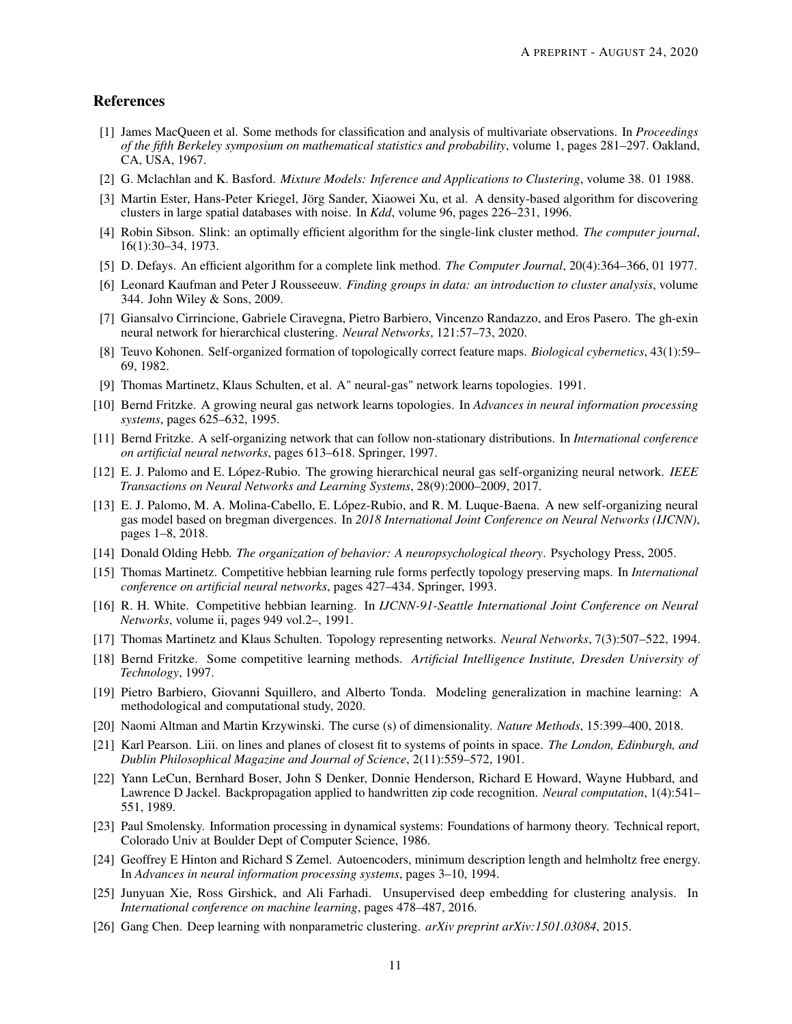## References

- <span id="page-10-0"></span>[1] James MacQueen et al. Some methods for classification and analysis of multivariate observations. In *Proceedings of the fifth Berkeley symposium on mathematical statistics and probability*, volume 1, pages 281–297. Oakland, CA, USA, 1967.
- <span id="page-10-1"></span>[2] G. Mclachlan and K. Basford. *Mixture Models: Inference and Applications to Clustering*, volume 38. 01 1988.
- <span id="page-10-2"></span>[3] Martin Ester, Hans-Peter Kriegel, Jörg Sander, Xiaowei Xu, et al. A density-based algorithm for discovering clusters in large spatial databases with noise. In *Kdd*, volume 96, pages 226–231, 1996.
- <span id="page-10-3"></span>[4] Robin Sibson. Slink: an optimally efficient algorithm for the single-link cluster method. *The computer journal*, 16(1):30–34, 1973.
- <span id="page-10-4"></span>[5] D. Defays. An efficient algorithm for a complete link method. *The Computer Journal*, 20(4):364–366, 01 1977.
- <span id="page-10-5"></span>[6] Leonard Kaufman and Peter J Rousseeuw. *Finding groups in data: an introduction to cluster analysis*, volume 344. John Wiley & Sons, 2009.
- <span id="page-10-6"></span>[7] Giansalvo Cirrincione, Gabriele Ciravegna, Pietro Barbiero, Vincenzo Randazzo, and Eros Pasero. The gh-exin neural network for hierarchical clustering. *Neural Networks*, 121:57–73, 2020.
- <span id="page-10-7"></span>[8] Teuvo Kohonen. Self-organized formation of topologically correct feature maps. *Biological cybernetics*, 43(1):59– 69, 1982.
- <span id="page-10-8"></span>[9] Thomas Martinetz, Klaus Schulten, et al. A" neural-gas" network learns topologies. 1991.
- <span id="page-10-9"></span>[10] Bernd Fritzke. A growing neural gas network learns topologies. In *Advances in neural information processing systems*, pages 625–632, 1995.
- <span id="page-10-10"></span>[11] Bernd Fritzke. A self-organizing network that can follow non-stationary distributions. In *International conference on artificial neural networks*, pages 613–618. Springer, 1997.
- <span id="page-10-11"></span>[12] E. J. Palomo and E. López-Rubio. The growing hierarchical neural gas self-organizing neural network. *IEEE Transactions on Neural Networks and Learning Systems*, 28(9):2000–2009, 2017.
- <span id="page-10-12"></span>[13] E. J. Palomo, M. A. Molina-Cabello, E. López-Rubio, and R. M. Luque-Baena. A new self-organizing neural gas model based on bregman divergences. In *2018 International Joint Conference on Neural Networks (IJCNN)*, pages 1–8, 2018.
- <span id="page-10-13"></span>[14] Donald Olding Hebb. *The organization of behavior: A neuropsychological theory*. Psychology Press, 2005.
- <span id="page-10-14"></span>[15] Thomas Martinetz. Competitive hebbian learning rule forms perfectly topology preserving maps. In *International conference on artificial neural networks*, pages 427–434. Springer, 1993.
- <span id="page-10-15"></span>[16] R. H. White. Competitive hebbian learning. In *IJCNN-91-Seattle International Joint Conference on Neural Networks*, volume ii, pages 949 vol.2–, 1991.
- <span id="page-10-16"></span>[17] Thomas Martinetz and Klaus Schulten. Topology representing networks. *Neural Networks*, 7(3):507–522, 1994.
- <span id="page-10-17"></span>[18] Bernd Fritzke. Some competitive learning methods. *Artificial Intelligence Institute, Dresden University of Technology*, 1997.
- <span id="page-10-18"></span>[19] Pietro Barbiero, Giovanni Squillero, and Alberto Tonda. Modeling generalization in machine learning: A methodological and computational study, 2020.
- <span id="page-10-19"></span>[20] Naomi Altman and Martin Krzywinski. The curse (s) of dimensionality. *Nature Methods*, 15:399–400, 2018.
- <span id="page-10-20"></span>[21] Karl Pearson. Liii. on lines and planes of closest fit to systems of points in space. *The London, Edinburgh, and Dublin Philosophical Magazine and Journal of Science*, 2(11):559–572, 1901.
- <span id="page-10-21"></span>[22] Yann LeCun, Bernhard Boser, John S Denker, Donnie Henderson, Richard E Howard, Wayne Hubbard, and Lawrence D Jackel. Backpropagation applied to handwritten zip code recognition. *Neural computation*, 1(4):541– 551, 1989.
- <span id="page-10-22"></span>[23] Paul Smolensky. Information processing in dynamical systems: Foundations of harmony theory. Technical report, Colorado Univ at Boulder Dept of Computer Science, 1986.
- <span id="page-10-23"></span>[24] Geoffrey E Hinton and Richard S Zemel. Autoencoders, minimum description length and helmholtz free energy. In *Advances in neural information processing systems*, pages 3–10, 1994.
- <span id="page-10-24"></span>[25] Junyuan Xie, Ross Girshick, and Ali Farhadi. Unsupervised deep embedding for clustering analysis. In *International conference on machine learning*, pages 478–487, 2016.
- <span id="page-10-25"></span>[26] Gang Chen. Deep learning with nonparametric clustering. *arXiv preprint arXiv:1501.03084*, 2015.